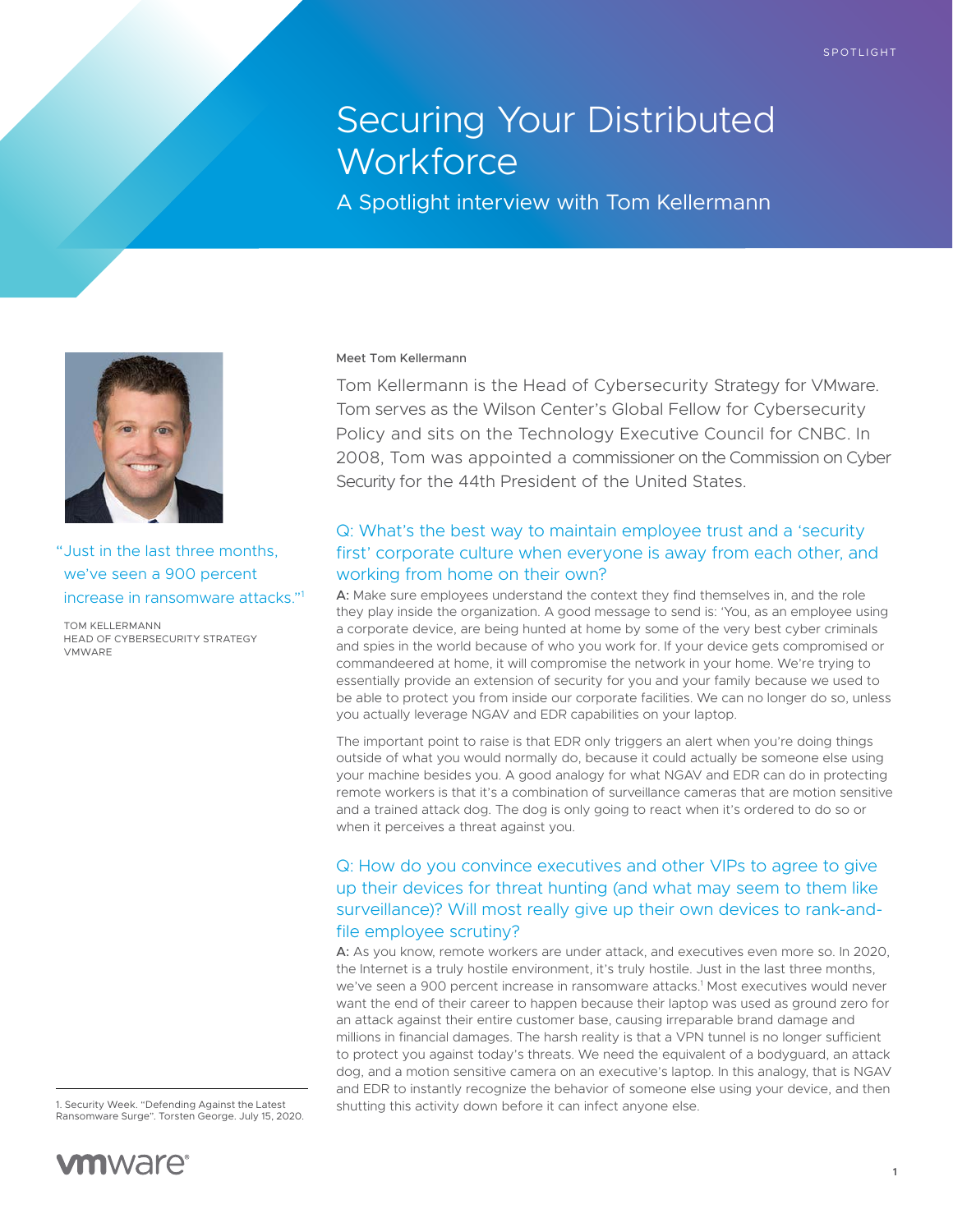# Securing Your Distributed **Workforce**

A Spotlight interview with Tom Kellermann



"Just in the last three months, we've seen a 900 percent increase in ransomware attacks."1

TOM KELLERMANN HEAD OF CYBERSECURITY STRATEGY VMWARE

1. Security Week. "Defending Against the Latest Ransomware Surge". Torsten George. July 15, 2020.



#### Meet Tom Kellermann

Tom Kellermann is the Head of Cybersecurity Strategy for VMware. Tom serves as the Wilson Center's Global Fellow for Cybersecurity Policy and sits on the Technology Executive Council for CNBC. In 2008, Tom was appointed a commissioner on the Commission on Cyber Security for the 44th President of the United States.

## Q: What's the best way to maintain employee trust and a 'security first' corporate culture when everyone is away from each other, and working from home on their own?

A: Make sure employees understand the context they find themselves in, and the role they play inside the organization. A good message to send is: 'You, as an employee using a corporate device, are being hunted at home by some of the very best cyber criminals and spies in the world because of who you work for. If your device gets compromised or commandeered at home, it will compromise the network in your home. We're trying to essentially provide an extension of security for you and your family because we used to be able to protect you from inside our corporate facilities. We can no longer do so, unless you actually leverage NGAV and EDR capabilities on your laptop.

The important point to raise is that EDR only triggers an alert when you're doing things outside of what you would normally do, because it could actually be someone else using your machine besides you. A good analogy for what NGAV and EDR can do in protecting remote workers is that it's a combination of surveillance cameras that are motion sensitive and a trained attack dog. The dog is only going to react when it's ordered to do so or when it perceives a threat against you.

## Q: How do you convince executives and other VIPs to agree to give up their devices for threat hunting (and what may seem to them like surveillance)? Will most really give up their own devices to rank-andfile employee scrutiny?

A: As you know, remote workers are under attack, and executives even more so. In 2020, the Internet is a truly hostile environment, it's truly hostile. Just in the last three months, we've seen a 900 percent increase in ransomware attacks.<sup>1</sup> Most executives would never want the end of their career to happen because their laptop was used as ground zero for an attack against their entire customer base, causing irreparable brand damage and millions in financial damages. The harsh reality is that a VPN tunnel is no longer sufficient to protect you against today's threats. We need the equivalent of a bodyguard, an attack dog, and a motion sensitive camera on an executive's laptop. In this analogy, that is NGAV and EDR to instantly recognize the behavior of someone else using your device, and then shutting this activity down before it can infect anyone else.